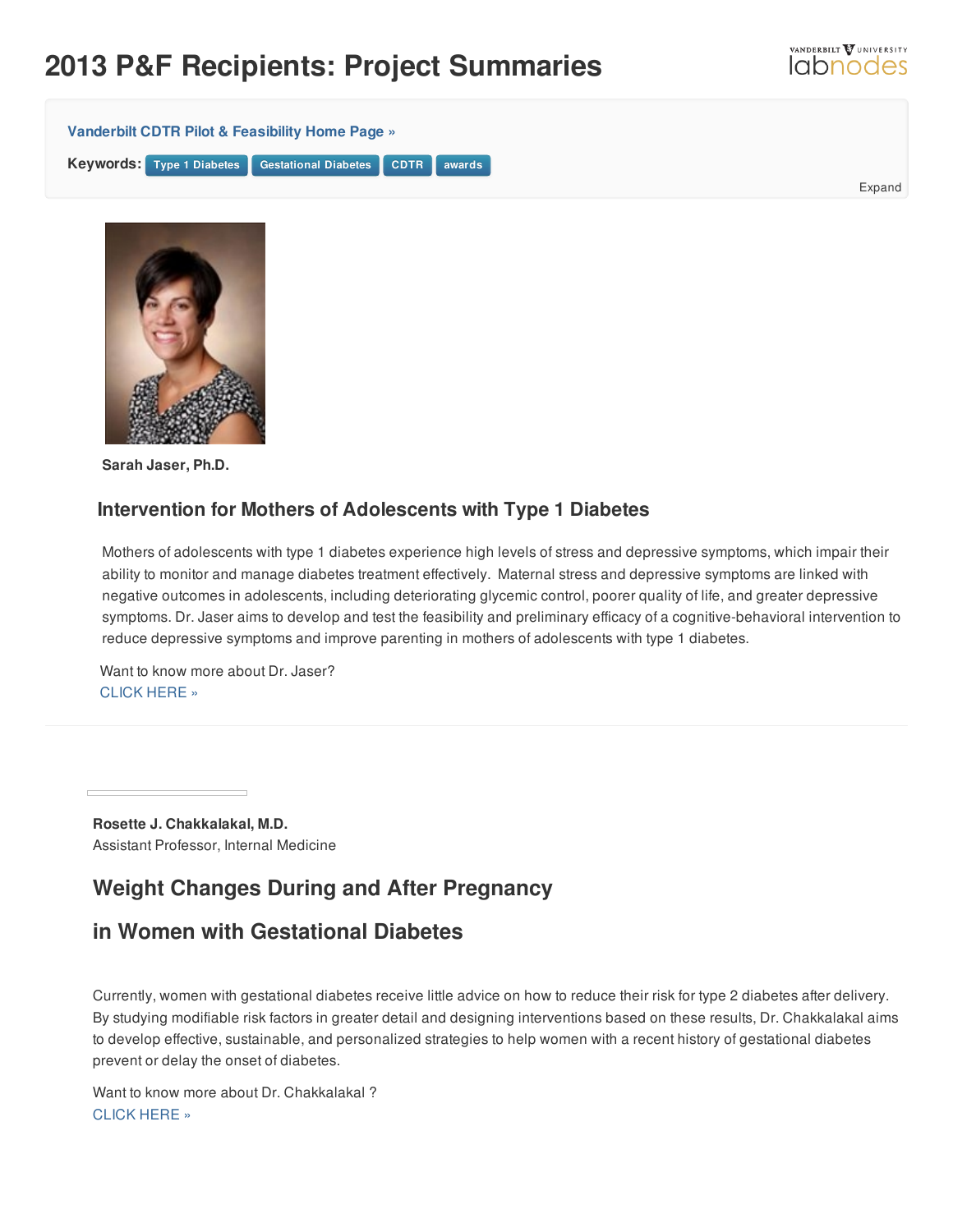## **2013 P&F Recipients: Project Summaries**



Expand

VANDERBILT VUNIVERSITY **Iabnodes** 



**Sarah Jaser, Ph.D.**

## **Intervention for Mothers of Adolescents with Type 1 Diabetes**

Mothers of adolescents with type 1 diabetes experience high levels of stress and depressive symptoms, which impair their ability to monitor and manage diabetes treatment effectively. Maternal stress and depressive symptoms are linked with negative outcomes in adolescents, including deteriorating glycemic control, poorer quality of life, and greater depressive symptoms. Dr. Jaser aims to develop and test the feasibility and preliminary efficacy of a cognitive-behavioral intervention to reduce depressive symptoms and improve parenting in mothers of adolescents with type 1 diabetes.

Want to know more about Dr. Jaser? [CLICK](http://www.childrenshospital.vanderbilt.org/directory/profile/sarah-jaser.12394) HERE »

**Rosette J. Chakkalakal, M.D.** Assistant Professor, Internal Medicine

## **Weight Changes During and After Pregnancy**

## **in Women with Gestational Diabetes**

Currently, women with gestational diabetes receive little advice on how to reduce their risk for type 2 diabetes after delivery. By studying modifiable risk factors in greater detail and designing interventions based on these results, Dr. Chakkalakal aims to develop effective, sustainable, and personalized strategies to help women with a recent history of gestational diabetes prevent or delay the onset of diabetes.

Want to know more about Dr. Chakkalakal ? [CLICK](https://medschool.vanderbilt.edu/colleges/person/rosette-chakkalakal) HERE »